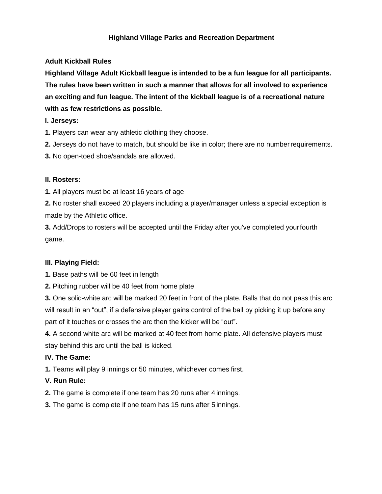### **Highland Village Parks and Recreation Department**

### **Adult Kickball Rules**

**Highland Village Adult Kickball league is intended to be a fun league for all participants. The rules have been written in such a manner that allows for all involved to experience an exciting and fun league. The intent of the kickball league is of a recreational nature with as few restrictions as possible.**

### **I. Jerseys:**

**1.** Players can wear any athletic clothing they choose.

**2.** Jerseys do not have to match, but should be like in color; there are no numberrequirements.

**3.** No open-toed shoe/sandals are allowed.

### **II. Rosters:**

**1.** All players must be at least 16 years of age

**2.** No roster shall exceed 20 players including a player/manager unless a special exception is made by the Athletic office.

**3.** Add/Drops to rosters will be accepted until the Friday after you've completed yourfourth game.

### **III. Playing Field:**

**1.** Base paths will be 60 feet in length

**2.** Pitching rubber will be 40 feet from home plate

**3.** One solid-white arc will be marked 20 feet in front of the plate. Balls that do not pass this arc will result in an "out", if a defensive player gains control of the ball by picking it up before any part of it touches or crosses the arc then the kicker will be "out".

**4.** A second white arc will be marked at 40 feet from home plate. All defensive players must stay behind this arc until the ball is kicked.

# **IV. The Game:**

**1.** Teams will play 9 innings or 50 minutes, whichever comes first.

# **V. Run Rule:**

**2.** The game is complete if one team has 20 runs after 4 innings.

**3.** The game is complete if one team has 15 runs after 5 innings.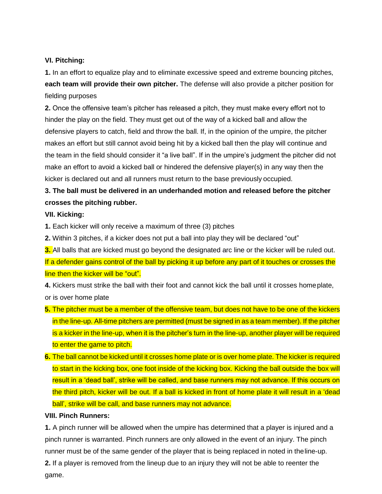#### **VI. Pitching:**

**1.** In an effort to equalize play and to eliminate excessive speed and extreme bouncing pitches, **each team will provide their own pitcher.** The defense will also provide a pitcher position for fielding purposes

**2.** Once the offensive team's pitcher has released a pitch, they must make every effort not to hinder the play on the field. They must get out of the way of a kicked ball and allow the defensive players to catch, field and throw the ball. If, in the opinion of the umpire, the pitcher makes an effort but still cannot avoid being hit by a kicked ball then the play will continue and the team in the field should consider it "a live ball". If in the umpire's judgment the pitcher did not make an effort to avoid a kicked ball or hindered the defensive player(s) in any way then the kicker is declared out and all runners must return to the base previously occupied.

# **3. The ball must be delivered in an underhanded motion and released before the pitcher crosses the pitching rubber.**

#### **VII. Kicking:**

**1.** Each kicker will only receive a maximum of three (3) pitches

**2.** Within 3 pitches, if a kicker does not put a ball into play they will be declared "out"

**3.** All balls that are kicked must go beyond the designated arc line or the kicker will be ruled out. If a defender gains control of the ball by picking it up before any part of it touches or crosses the line then the kicker will be "out".

**4.** Kickers must strike the ball with their foot and cannot kick the ball until it crosses homeplate, or is over home plate

- **5.** The pitcher must be a member of the offensive team, but does not have to be one of the kickers in the line-up. All-time pitchers are permitted (must be signed in as a team member). If the pitcher is a kicker in the line-up, when it is the pitcher's turn in the line-up, another player will be required to enter the game to pitch.
- **6.** The ball cannot be kicked until it crosses home plate or is over home plate. The kicker is required to start in the kicking box, one foot inside of the kicking box. Kicking the ball outside the box will result in a 'dead ball', strike will be called, and base runners may not advance. If this occurs on the third pitch, kicker will be out. If a ball is kicked in front of home plate it will result in a 'dead ball', strike will be call, and base runners may not advance.

#### **VIII. Pinch Runners:**

**1.** A pinch runner will be allowed when the umpire has determined that a player is injured and a pinch runner is warranted. Pinch runners are only allowed in the event of an injury. The pinch runner must be of the same gender of the player that is being replaced in noted in theline-up. **2.** If a player is removed from the lineup due to an injury they will not be able to reenter the game.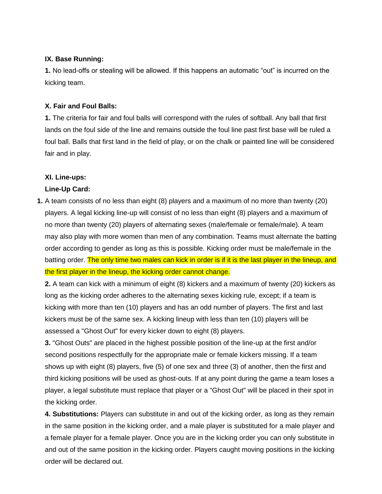#### **IX. Base Running:**

**1.** No lead-offs or stealing will be allowed. If this happens an automatic "out" is incurred on the kicking team.

### **X. Fair and Foul Balls:**

**1.** The criteria for fair and foul balls will correspond with the rules of softball. Any ball that first lands on the foul side of the line and remains outside the foul line past first base will be ruled a foul ball. Balls that first land in the field of play, or on the chalk or painted line will be considered fair and in play.

# **XI. Line-ups:**

# **Line-Up Card:**

**1.** A team consists of no less than eight (8) players and a maximum of no more than twenty (20) players. A legal kicking line-up will consist of no less than eight (8) players and a maximum of no more than twenty (20) players of alternating sexes (male/female or female/male). A team may also play with more women than men of any combination. Teams must alternate the batting order according to gender as long as this is possible. Kicking order must be male/female in the batting order. The only time two males can kick in order is if it is the last player in the lineup, and the first player in the lineup, the kicking order cannot change.

**2.** A team can kick with a minimum of eight (8) kickers and a maximum of twenty (20) kickers as long as the kicking order adheres to the alternating sexes kicking rule, except; if a team is kicking with more than ten (10) players and has an odd number of players. The first and last kickers must be of the same sex. A kicking lineup with less than ten (10) players will be assessed a "Ghost Out" for every kicker down to eight (8) players.

**3.** "Ghost Outs" are placed in the highest possible position of the line-up at the first and/or second positions respectfully for the appropriate male or female kickers missing. If a team shows up with eight (8) players, five (5) of one sex and three (3) of another, then the first and third kicking positions will be used as ghost-outs. If at any point during the game a team loses a player, a legal substitute must replace that player or a "Ghost Out" will be placed in their spot in the kicking order.

**4. Substitutions:** Players can substitute in and out of the kicking order, as long as they remain in the same position in the kicking order, and a male player is substituted for a male player and a female player for a female player. Once you are in the kicking order you can only substitute in and out of the same position in the kicking order. Players caught moving positions in the kicking order will be declared out.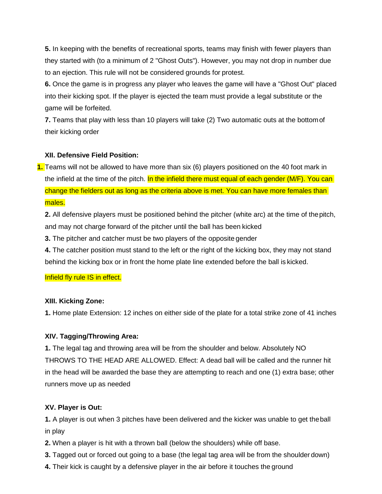**5.** In keeping with the benefits of recreational sports, teams may finish with fewer players than they started with (to a minimum of 2 "Ghost Outs"). However, you may not drop in number due to an ejection. This rule will not be considered grounds for protest.

**6.** Once the game is in progress any player who leaves the game will have a "Ghost Out" placed into their kicking spot. If the player is ejected the team must provide a legal substitute or the game will be forfeited.

**7.** Teams that play with less than 10 players will take (2) Two automatic outs at the bottomof their kicking order

### **XII. Defensive Field Position:**

**1.** Teams will not be allowed to have more than six (6) players positioned on the 40 foot mark in the infield at the time of the pitch. In the infield there must equal of each gender (M/F). You can change the fielders out as long as the criteria above is met. You can have more females than males.

**2.** All defensive players must be positioned behind the pitcher (white arc) at the time of thepitch, and may not charge forward of the pitcher until the ball has been kicked

**3.** The pitcher and catcher must be two players of the opposite gender

**4.** The catcher position must stand to the left or the right of the kicking box, they may not stand behind the kicking box or in front the home plate line extended before the ball is kicked.

Infield fly rule IS in effect.

# **XIII. Kicking Zone:**

**1.** Home plate Extension: 12 inches on either side of the plate for a total strike zone of 41 inches

# **XIV. Tagging/Throwing Area:**

**1.** The legal tag and throwing area will be from the shoulder and below. Absolutely NO THROWS TO THE HEAD ARE ALLOWED. Effect: A dead ball will be called and the runner hit in the head will be awarded the base they are attempting to reach and one (1) extra base; other runners move up as needed

# **XV. Player is Out:**

**1.** A player is out when 3 pitches have been delivered and the kicker was unable to get theball in play

**2.** When a player is hit with a thrown ball (below the shoulders) while off base.

- **3.** Tagged out or forced out going to a base (the legal tag area will be from the shoulder down)
- **4.** Their kick is caught by a defensive player in the air before it touches the ground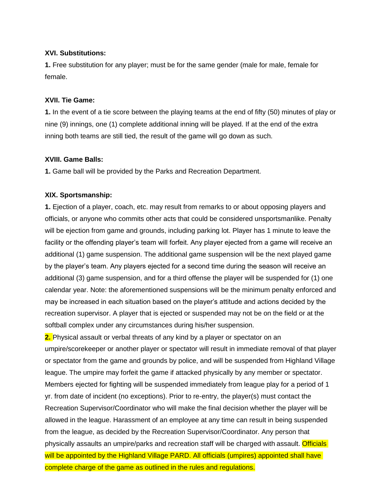#### **XVI. Substitutions:**

**1.** Free substitution for any player; must be for the same gender (male for male, female for female.

#### **XVII. Tie Game:**

**1.** In the event of a tie score between the playing teams at the end of fifty (50) minutes of play or nine (9) innings, one (1) complete additional inning will be played. If at the end of the extra inning both teams are still tied, the result of the game will go down as such.

#### **XVIII. Game Balls:**

**1.** Game ball will be provided by the Parks and Recreation Department.

#### **XIX. Sportsmanship:**

**1.** Ejection of a player, coach, etc. may result from remarks to or about opposing players and officials, or anyone who commits other acts that could be considered unsportsmanlike. Penalty will be ejection from game and grounds, including parking lot. Player has 1 minute to leave the facility or the offending player's team will forfeit. Any player ejected from a game will receive an additional (1) game suspension. The additional game suspension will be the next played game by the player's team. Any players ejected for a second time during the season will receive an additional (3) game suspension, and for a third offense the player will be suspended for (1) one calendar year. Note: the aforementioned suspensions will be the minimum penalty enforced and may be increased in each situation based on the player's attitude and actions decided by the recreation supervisor. A player that is ejected or suspended may not be on the field or at the softball complex under any circumstances during his/her suspension.

**2.** Physical assault or verbal threats of any kind by a player or spectator on an umpire/scorekeeper or another player or spectator will result in immediate removal of that player or spectator from the game and grounds by police, and will be suspended from Highland Village league. The umpire may forfeit the game if attacked physically by any member or spectator. Members ejected for fighting will be suspended immediately from league play for a period of 1 yr. from date of incident (no exceptions). Prior to re-entry, the player(s) must contact the Recreation Supervisor/Coordinator who will make the final decision whether the player will be allowed in the league. Harassment of an employee at any time can result in being suspended from the league, as decided by the Recreation Supervisor/Coordinator. Any person that physically assaults an umpire/parks and recreation staff will be charged with assault. Officials will be appointed by the Highland Village PARD. All officials (umpires) appointed shall have complete charge of the game as outlined in the rules and regulations.